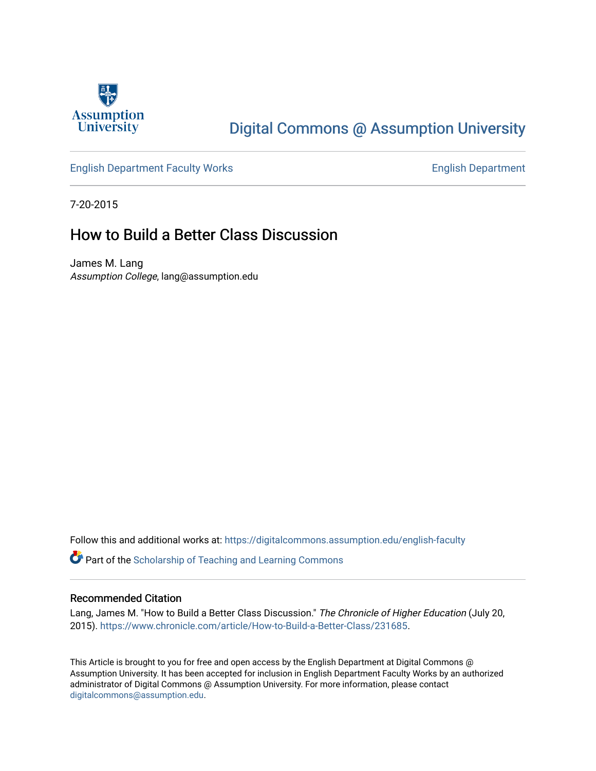

## [Digital Commons @ Assumption University](https://digitalcommons.assumption.edu/)

#### [English Department Faculty Works](https://digitalcommons.assumption.edu/english-faculty) **English Department**

7-20-2015

### How to Build a Better Class Discussion

James M. Lang Assumption College, lang@assumption.edu

Follow this and additional works at: [https://digitalcommons.assumption.edu/english-faculty](https://digitalcommons.assumption.edu/english-faculty?utm_source=digitalcommons.assumption.edu%2Fenglish-faculty%2F40&utm_medium=PDF&utm_campaign=PDFCoverPages) 

**P** Part of the Scholarship of Teaching and Learning Commons

#### Recommended Citation

Lang, James M. "How to Build a Better Class Discussion." The Chronicle of Higher Education (July 20, 2015). [https://www.chronicle.com/article/How-to-Build-a-Better-Class/231685.](https://www.chronicle.com/article/How-to-Build-a-Better-Class/231685)

This Article is brought to you for free and open access by the English Department at Digital Commons @ Assumption University. It has been accepted for inclusion in English Department Faculty Works by an authorized administrator of Digital Commons @ Assumption University. For more information, please contact [digitalcommons@assumption.edu](mailto:digitalcommons@assumption.edu).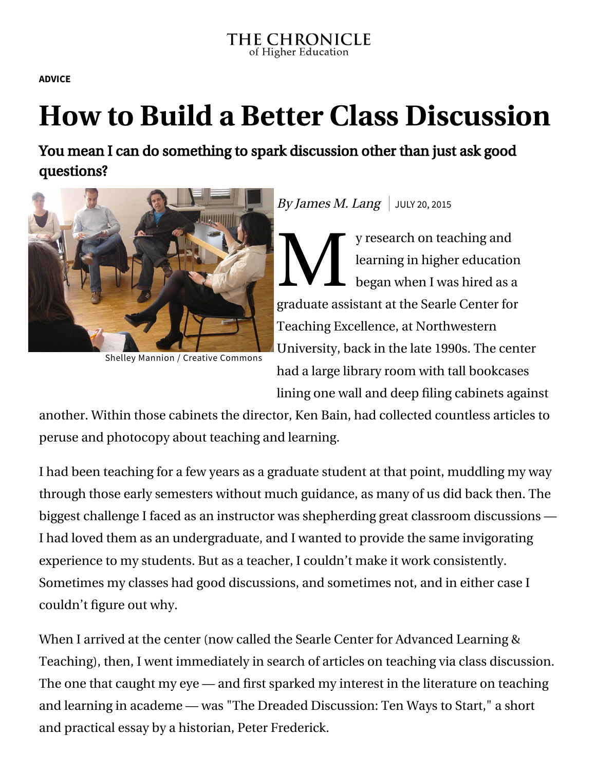**[ADVICE](https://www.chronicle.com/section/Advice/66)**

# **How to Build a Better Class Discussion**

You mean I can do something to spark discussion other than just ask good questions?



Shelley Mannion / Creative [Commons](https://creativecommons.org/licenses/by-nc/2.0/)

## By James M. Lang  $\vert$  JULY 20, 2015

 $\sum_{\text{beq}}$ y research on teaching and learning in higher education began when I was hired as a graduate assistant at the Searle Center for Teaching Excellence, at Northwestern University, back in the late 1990s. The center had a large library room with tall bookcases lining one wall and deep filing cabinets against

another. Within those cabinets the director, Ken Bain, had collected countless articles to peruse and photocopy about teaching and learning.

I had been teaching for a few years as a graduate student at that point, muddling my way through those early semesters without much guidance, as many of us did back then. The biggest challenge I faced as an instructor was shepherding great classroom discussions — I had loved them as an undergraduate, and I wanted to provide the same invigorating experience to my students. But as a teacher, I couldn't make it work consistently. Sometimes my classes had good discussions, and sometimes not, and in either case I couldn't figure out why.

When I arrived at the center (now called the Searle Center for Advanced Learning & Teaching), then, I went immediately in search of articles on teaching via class discussion. The one that caught my eye — and first sparked my interest in the literature on teaching and learning in academe — was ["The Dreaded Discussion: Ten Ways to Start,"](http://www.indiana.edu/~tchsotl/part%201/part1%20materials/The_Dreaded_Discussion.pdf) a short and practical essay by a historian, Peter Frederick.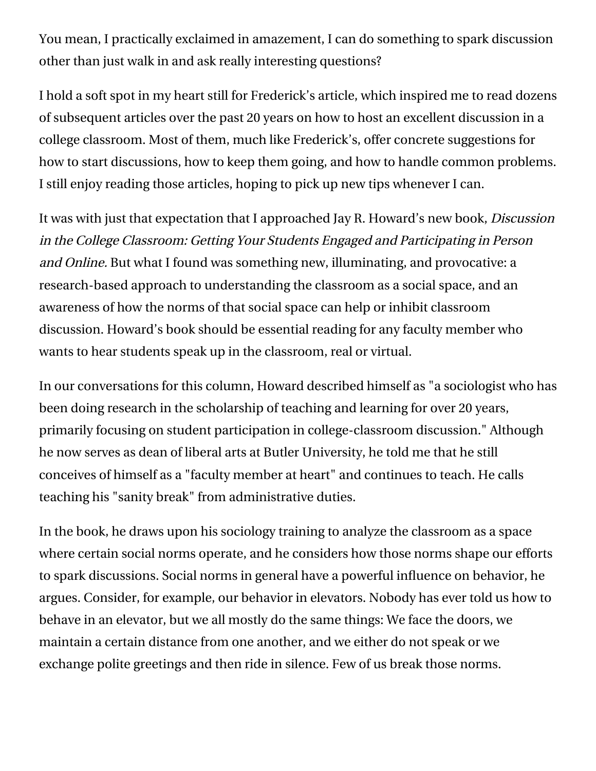You mean, I practically exclaimed in amazement, I can do something to spark discussion other than just walk in and ask really interesting questions?

I hold a soft spot in my heart still for Frederick's article, which inspired me to read dozens of subsequent articles over the past 20 years on how to host an excellent discussion in a college classroom. Most of them, much like Frederick's, offer concrete suggestions for how to start discussions, how to keep them going, and how to handle common problems. I still enjoy reading those articles, hoping to pick up new tips whenever I can.

It was with just that expectation that I approached Jay R. Howard's new book, *Discussion* [in the College Classroom: Getting Your Students Engaged and Participating in Person](http://www.wiley.com/WileyCDA/WileyTitle/productCd-1118571355.html) and Online. But what I found was something new, illuminating, and provocative: a research-based approach to understanding the classroom as a social space, and an awareness of how the norms of that social space can help or inhibit classroom discussion. Howard's book should be essential reading for any faculty member who wants to hear students speak up in the classroom, real or virtual.

In our conversations for this column, Howard described himself as "a sociologist who has been doing research in the scholarship of teaching and learning for over 20 years, primarily focusing on student participation in college-classroom discussion." Although he now serves as dean of liberal arts at Butler University, he told me that he still conceives of himself as a "faculty member at heart" and continues to teach. He calls teaching his "sanity break" from administrative duties.

In the book, he draws upon his sociology training to analyze the classroom as a space where certain social norms operate, and he considers how those norms shape our efforts to spark discussions. Social norms in general have a powerful influence on behavior, he argues. Consider, for example, our behavior in elevators. Nobody has ever told us how to behave in an elevator, but we all mostly do the same things: We face the doors, we maintain a certain distance from one another, and we either do not speak or we exchange polite greetings and then ride in silence. Few of us break those norms.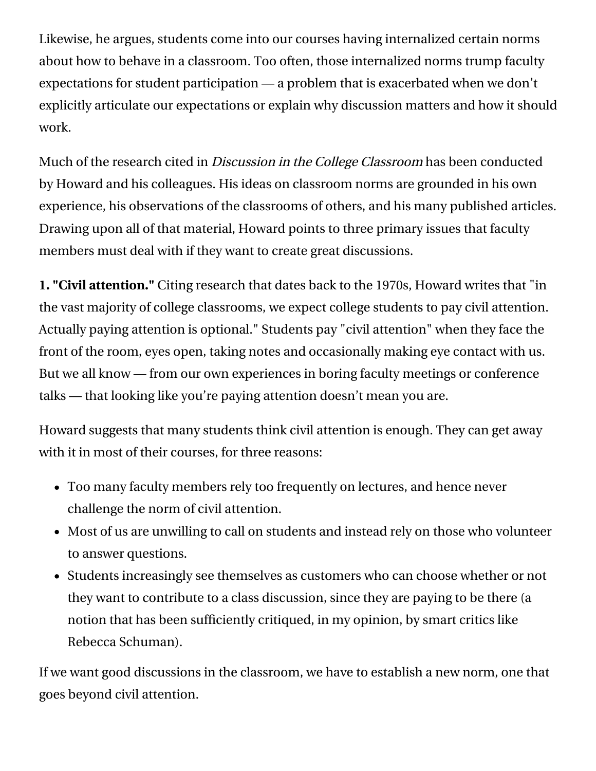Likewise, he argues, students come into our courses having internalized certain norms about how to behave in a classroom. Too often, those internalized norms trump faculty expectations for student participation — a problem that is exacerbated when we don't explicitly articulate our expectations or explain why discussion matters and how it should work.

Much of the research cited in *Discussion in the College Classroom* has been conducted by Howard and his colleagues. His ideas on classroom norms are grounded in his own experience, his observations of the classrooms of others, and his many published articles. Drawing upon all of that material, Howard points to three primary issues that faculty members must deal with if they want to create great discussions.

**1. "Civil attention."** Citing research that dates back to the 1970s, Howard writes that "in the vast majority of college classrooms, we expect college students to pay civil attention. Actually paying attention is optional." Students pay "civil attention" when they face the front of the room, eyes open, taking notes and occasionally making eye contact with us. But we all know — from our own experiences in boring faculty meetings or conference talks — that looking like you're paying attention doesn't mean you are.

Howard suggests that many students think civil attention is enough. They can get away with it in most of their courses, for three reasons:

- Too many faculty members rely too frequently on lectures, and hence never challenge the norm of civil attention.
- Most of us are unwilling to call on students and instead rely on those who volunteer to answer questions.
- Students increasingly see themselves as customers who can choose whether or not they want to contribute to a class discussion, since they are paying to be there (a notion that has been [sufficiently critiqued,](http://www.slate.com/articles/life/education/2015/05/college_students_are_not_customers_a_political_shorthand_that_needs_to_die.html) in my opinion, by smart critics like Rebecca Schuman).

If we want good discussions in the classroom, we have to establish a new norm, one that goes beyond civil attention.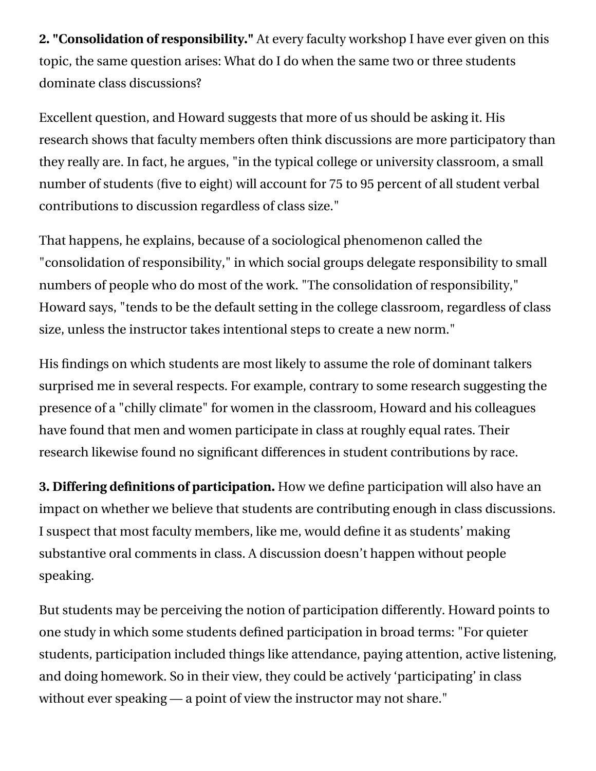**2. "Consolidation of responsibility."** At every faculty workshop I have ever given on this topic, the same question arises: What do I do when the same two or three students dominate class discussions?

Excellent question, and Howard suggests that more of us should be asking it. His research shows that faculty members often think discussions are more participatory than they really are. In fact, he argues, "in the typical college or university classroom, a small number of students (five to eight) will account for 75 to 95 percent of all student verbal contributions to discussion regardless of class size."

That happens, he explains, because of a sociological phenomenon called the "consolidation of responsibility," in which social groups delegate responsibility to small numbers of people who do most of the work. "The consolidation of responsibility," Howard says, "tends to be the default setting in the college classroom, regardless of class size, unless the instructor takes intentional steps to create a new norm."

His findings on which students are most likely to assume the role of dominant talkers surprised me in several respects. For example, contrary to some research suggesting the presence of a "chilly climate" for women in the classroom, Howard and his colleagues have found that men and women participate in class at roughly equal rates. Their research likewise found no significant differences in student contributions by race.

**3. Differing definitions of participation.** How we define participation will also have an impact on whether we believe that students are contributing enough in class discussions. I suspect that most faculty members, like me, would define it as students' making substantive oral comments in class. A discussion doesn't happen without people speaking.

But students may be perceiving the notion of participation differently. Howard points to one study in which some students defined participation in broad terms: "For quieter students, participation included things like attendance, paying attention, active listening, and doing homework. So in their view, they could be actively 'participating' in class without ever speaking — a point of view the instructor may not share."